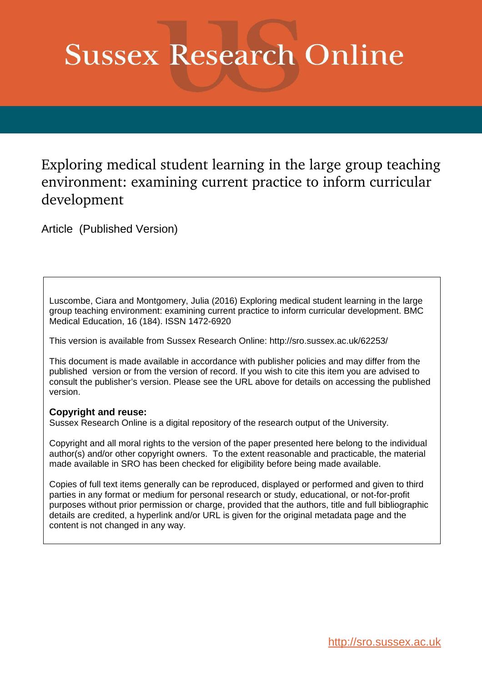# **Sussex Research Online**

# Exploring medical student learning in the large group teaching environment: examining current practice to inform curricular development

Article (Published Version)

Luscombe, Ciara and Montgomery, Julia (2016) Exploring medical student learning in the large group teaching environment: examining current practice to inform curricular development. BMC Medical Education, 16 (184). ISSN 1472-6920

This version is available from Sussex Research Online: http://sro.sussex.ac.uk/62253/

This document is made available in accordance with publisher policies and may differ from the published version or from the version of record. If you wish to cite this item you are advised to consult the publisher's version. Please see the URL above for details on accessing the published version.

## **Copyright and reuse:**

Sussex Research Online is a digital repository of the research output of the University.

Copyright and all moral rights to the version of the paper presented here belong to the individual author(s) and/or other copyright owners. To the extent reasonable and practicable, the material made available in SRO has been checked for eligibility before being made available.

Copies of full text items generally can be reproduced, displayed or performed and given to third parties in any format or medium for personal research or study, educational, or not-for-profit purposes without prior permission or charge, provided that the authors, title and full bibliographic details are credited, a hyperlink and/or URL is given for the original metadata page and the content is not changed in any way.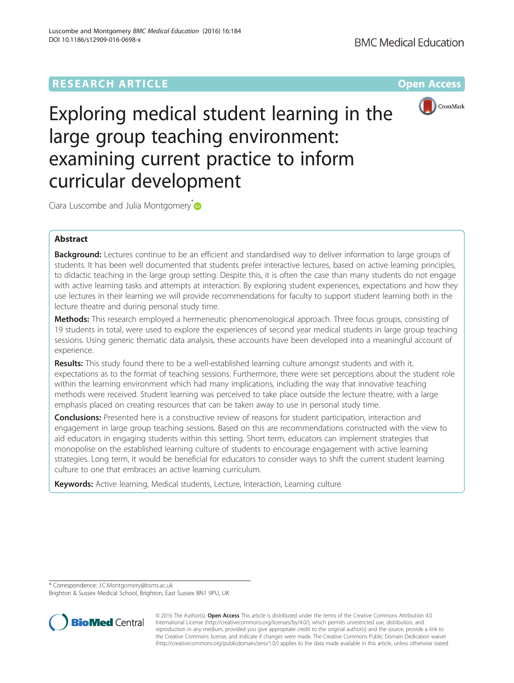# **RESEARCH ARTICLE Example 2014 12:30 The Company Access** (RESEARCH ARTICLE



Exploring medical student learning in the large group teaching environment: examining current practice to inform curricular development

Ciara Luscombe and Julia Montgomery $\overline{p}$ 

### Abstract

Background: Lectures continue to be an efficient and standardised way to deliver information to large groups of students. It has been well documented that students prefer interactive lectures, based on active learning principles, to didactic teaching in the large group setting. Despite this, it is often the case than many students do not engage with active learning tasks and attempts at interaction. By exploring student experiences, expectations and how they use lectures in their learning we will provide recommendations for faculty to support student learning both in the lecture theatre and during personal study time.

Methods: This research employed a hermeneutic phenomenological approach. Three focus groups, consisting of 19 students in total, were used to explore the experiences of second year medical students in large group teaching sessions. Using generic thematic data analysis, these accounts have been developed into a meaningful account of experience.

Results: This study found there to be a well-established learning culture amongst students and with it, expectations as to the format of teaching sessions. Furthermore, there were set perceptions about the student role within the learning environment which had many implications, including the way that innovative teaching methods were received. Student learning was perceived to take place outside the lecture theatre, with a large emphasis placed on creating resources that can be taken away to use in personal study time.

**Conclusions:** Presented here is a constructive review of reasons for student participation, interaction and engagement in large group teaching sessions. Based on this are recommendations constructed with the view to aid educators in engaging students within this setting. Short term, educators can implement strategies that monopolise on the established learning culture of students to encourage engagement with active learning strategies. Long term, it would be beneficial for educators to consider ways to shift the current student learning culture to one that embraces an active learning curriculum.

Keywords: Active learning, Medical students, Lecture, Interaction, Learning culture

\* Correspondence: [J.C.Montgomery@bsms.ac.uk](mailto:J.C.Montgomery@bsms.ac.uk)

Brighton & Sussex Medical School, Brighton, East Sussex BN1 9PU, UK



© 2016 The Author(s). Open Access This article is distributed under the terms of the Creative Commons Attribution 4.0 International License [\(http://creativecommons.org/licenses/by/4.0/](http://creativecommons.org/licenses/by/4.0/)), which permits unrestricted use, distribution, and reproduction in any medium, provided you give appropriate credit to the original author(s) and the source, provide a link to the Creative Commons license, and indicate if changes were made. The Creative Commons Public Domain Dedication waiver [\(http://creativecommons.org/publicdomain/zero/1.0/](http://creativecommons.org/publicdomain/zero/1.0/)) applies to the data made available in this article, unless otherwise stated.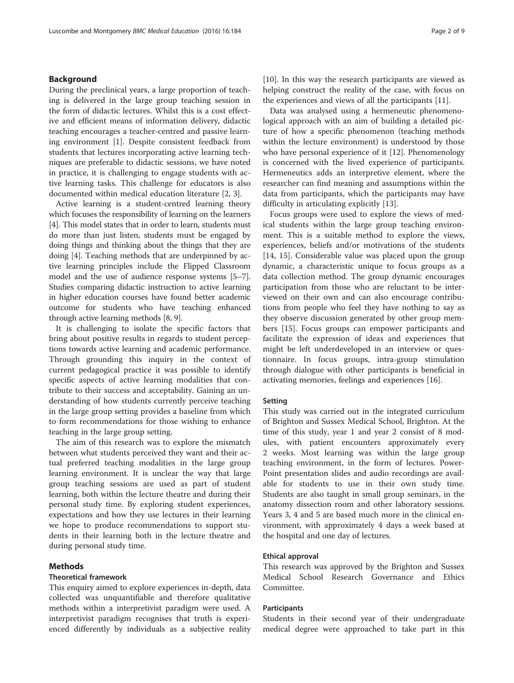#### <span id="page-2-0"></span>Background

During the preclinical years, a large proportion of teaching is delivered in the large group teaching session in the form of didactic lectures. Whilst this is a cost effective and efficient means of information delivery, didactic teaching encourages a teacher-centred and passive learning environment [\[1](#page-7-0)]. Despite consistent feedback from students that lectures incorporating active learning techniques are preferable to didactic sessions, we have noted in practice, it is challenging to engage students with active learning tasks. This challenge for educators is also documented within medical education literature [\[2](#page-7-0), [3](#page-7-0)].

Active learning is a student-centred learning theory which focuses the responsibility of learning on the learners [[4\]](#page-7-0). This model states that in order to learn, students must do more than just listen, students must be engaged by doing things and thinking about the things that they are doing [[4](#page-7-0)]. Teaching methods that are underpinned by active learning principles include the Flipped Classroom model and the use of audience response systems [[5](#page-7-0)–[7](#page-7-0)]. Studies comparing didactic instruction to active learning in higher education courses have found better academic outcome for students who have teaching enhanced through active learning methods [\[8](#page-7-0), [9\]](#page-7-0).

It is challenging to isolate the specific factors that bring about positive results in regards to student perceptions towards active learning and academic performance. Through grounding this inquiry in the context of current pedagogical practice it was possible to identify specific aspects of active learning modalities that contribute to their success and acceptability. Gaining an understanding of how students currently perceive teaching in the large group setting provides a baseline from which to form recommendations for those wishing to enhance teaching in the large group setting.

The aim of this research was to explore the mismatch between what students perceived they want and their actual preferred teaching modalities in the large group learning environment. It is unclear the way that large group teaching sessions are used as part of student learning, both within the lecture theatre and during their personal study time. By exploring student experiences, expectations and how they use lectures in their learning we hope to produce recommendations to support students in their learning both in the lecture theatre and during personal study time.

#### Methods

#### Theoretical framework

This enquiry aimed to explore experiences in-depth, data collected was unquantifiable and therefore qualitative methods within a interpretivist paradigm were used. A interpretivist paradigm recognises that truth is experienced differently by individuals as a subjective reality [[10\]](#page-7-0). In this way the research participants are viewed as helping construct the reality of the case, with focus on the experiences and views of all the participants [\[11](#page-7-0)].

Data was analysed using a hermeneutic phenomenological approach with an aim of building a detailed picture of how a specific phenomenon (teaching methods within the lecture environment) is understood by those who have personal experience of it [[12](#page-7-0)]. Phenomenology is concerned with the lived experience of participants. Hermeneutics adds an interpretive element, where the researcher can find meaning and assumptions within the data from participants, which the participants may have difficulty in articulating explicitly [\[13](#page-7-0)].

Focus groups were used to explore the views of medical students within the large group teaching environment. This is a suitable method to explore the views, experiences, beliefs and/or motivations of the students [[14, 15](#page-7-0)]. Considerable value was placed upon the group dynamic, a characteristic unique to focus groups as a data collection method. The group dynamic encourages participation from those who are reluctant to be interviewed on their own and can also encourage contributions from people who feel they have nothing to say as they observe discussion generated by other group members [\[15](#page-7-0)]. Focus groups can empower participants and facilitate the expression of ideas and experiences that might be left underdeveloped in an interview or questionnaire. In focus groups, intra-group stimulation through dialogue with other participants is beneficial in activating memories, feelings and experiences [[16](#page-7-0)].

#### Setting

This study was carried out in the integrated curriculum of Brighton and Sussex Medical School, Brighton. At the time of this study, year 1 and year 2 consist of 8 modules, with patient encounters approximately every 2 weeks. Most learning was within the large group teaching environment, in the form of lectures. Power-Point presentation slides and audio recordings are available for students to use in their own study time. Students are also taught in small group seminars, in the anatomy dissection room and other laboratory sessions. Years 3, 4 and 5 are based much more in the clinical environment, with approximately 4 days a week based at the hospital and one day of lectures.

#### Ethical approval

This research was approved by the Brighton and Sussex Medical School Research Governance and Ethics Committee.

#### **Participants**

Students in their second year of their undergraduate medical degree were approached to take part in this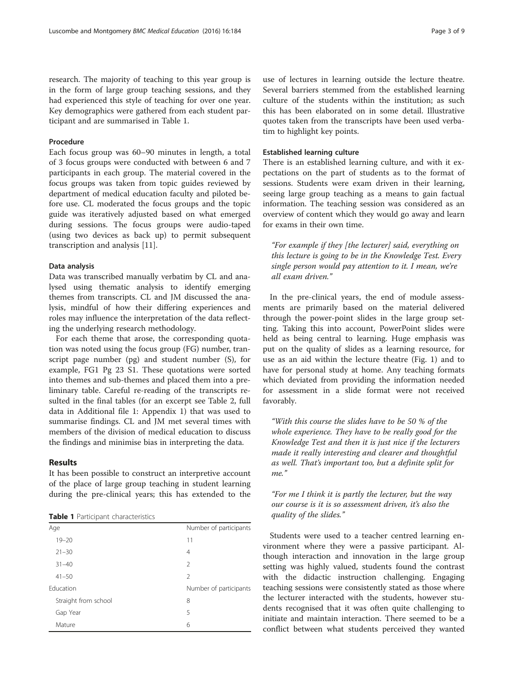research. The majority of teaching to this year group is in the form of large group teaching sessions, and they had experienced this style of teaching for over one year. Key demographics were gathered from each student participant and are summarised in Table [1](#page-2-0).

#### Procedure

Each focus group was 60–90 minutes in length, a total of 3 focus groups were conducted with between 6 and 7 participants in each group. The material covered in the focus groups was taken from topic guides reviewed by department of medical education faculty and piloted before use. CL moderated the focus groups and the topic guide was iteratively adjusted based on what emerged during sessions. The focus groups were audio-taped (using two devices as back up) to permit subsequent transcription and analysis [[11](#page-7-0)].

#### Data analysis

Data was transcribed manually verbatim by CL and analysed using thematic analysis to identify emerging themes from transcripts. CL and JM discussed the analysis, mindful of how their differing experiences and roles may influence the interpretation of the data reflecting the underlying research methodology.

For each theme that arose, the corresponding quotation was noted using the focus group (FG) number, transcript page number (pg) and student number (S), for example, FG1 Pg 23 S1. These quotations were sorted into themes and sub-themes and placed them into a preliminary table. Careful re-reading of the transcripts resulted in the final tables (for an excerpt see Table 2, full data in Additional file [1](#page-7-0): Appendix 1) that was used to summarise findings. CL and JM met several times with members of the division of medical education to discuss the findings and minimise bias in interpreting the data.

#### Results

It has been possible to construct an interpretive account of the place of large group teaching in student learning during the pre-clinical years; this has extended to the

| Number of participants |
|------------------------|
| 11                     |
| 4                      |
| $\mathfrak{D}$         |
| $\mathfrak{D}$         |
| Number of participants |
| 8                      |
| 5                      |
| 6                      |
|                        |

use of lectures in learning outside the lecture theatre. Several barriers stemmed from the established learning culture of the students within the institution; as such this has been elaborated on in some detail. Illustrative quotes taken from the transcripts have been used verbatim to highlight key points.

#### Established learning culture

There is an established learning culture, and with it expectations on the part of students as to the format of sessions. Students were exam driven in their learning, seeing large group teaching as a means to gain factual information. The teaching session was considered as an overview of content which they would go away and learn for exams in their own time.

"For example if they [the lecturer] said, everything on this lecture is going to be in the Knowledge Test. Every single person would pay attention to it. I mean, we're all exam driven."

In the pre-clinical years, the end of module assessments are primarily based on the material delivered through the power-point slides in the large group setting. Taking this into account, PowerPoint slides were held as being central to learning. Huge emphasis was put on the quality of slides as a learning resource, for use as an aid within the lecture theatre (Fig. 1) and to have for personal study at home. Any teaching formats which deviated from providing the information needed for assessment in a slide format were not received favorably.

"With this course the slides have to be 50 % of the whole experience. They have to be really good for the Knowledge Test and then it is just nice if the lecturers made it really interesting and clearer and thoughtful as well. That's important too, but a definite split for me."

"For me I think it is partly the lecturer, but the way our course is it is so assessment driven, it's also the quality of the slides."

Students were used to a teacher centred learning environment where they were a passive participant. Although interaction and innovation in the large group setting was highly valued, students found the contrast with the didactic instruction challenging. Engaging teaching sessions were consistently stated as those where the lecturer interacted with the students, however students recognised that it was often quite challenging to initiate and maintain interaction. There seemed to be a conflict between what students perceived they wanted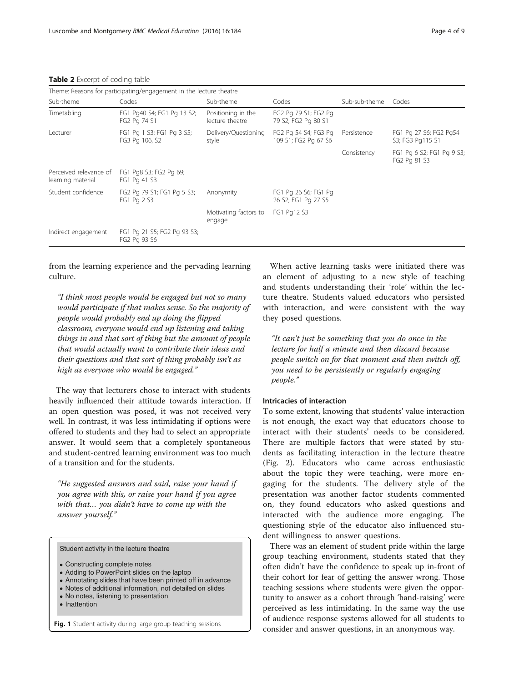<span id="page-4-0"></span>Table 2 Excerpt of coding table

| Theme: Reasons for participating/engagement in the lecture theatre |                                             |                                       |                                              |               |                                            |  |
|--------------------------------------------------------------------|---------------------------------------------|---------------------------------------|----------------------------------------------|---------------|--------------------------------------------|--|
| Sub-theme                                                          | Codes                                       | Sub-theme                             | Codes                                        | Sub-sub-theme | Codes                                      |  |
| Timetabling                                                        | FG1 Pg40 S4; FG1 Pg 13 S2;<br>FG2 Pg 74 S1  | Positioning in the<br>lecture theatre | FG2 Pg 79 S1; FG2 Pg<br>79 S2; FG2 Pg 80 S1  |               |                                            |  |
| Lecturer                                                           | FG1 Pg 1 S3; FG1 Pg 3 S5;<br>FG3 Pg 106, S2 | Delivery/Questioning<br>style         | FG2 Pg 54 S4; FG3 Pg<br>109 S1; FG2 Pg 67 S6 | Persistence   | FG1 Pg 27 S6; FG2 Pg54<br>S3; FG3 Pg115 S1 |  |
|                                                                    |                                             |                                       |                                              | Consistency   | FG1 Pg 6 S2; FG1 Pg 9 S3;<br>FG2 Pg 81 S3  |  |
| Perceived relevance of<br>learning material                        | FG1 Pg8 S3; FG2 Pg 69;<br>FG1 Pg 41 S3      |                                       |                                              |               |                                            |  |
| Student confidence                                                 | FG2 Pg 79 S1; FG1 Pg 5 S3;<br>FG1 Pg 2 S3   | Anonymity                             | FG1 Pg 26 S6; FG1 Pg<br>26 S2; FG1 Pg 27 S5  |               |                                            |  |
|                                                                    |                                             | Motivating factors to<br>engage       | FG1 Pg12 S3                                  |               |                                            |  |
| Indirect engagement                                                | FG1 Pg 21 S5; FG2 Pg 93 S3;<br>FG2 Pg 93 S6 |                                       |                                              |               |                                            |  |

from the learning experience and the pervading learning culture.

"I think most people would be engaged but not so many would participate if that makes sense. So the majority of people would probably end up doing the flipped classroom, everyone would end up listening and taking things in and that sort of thing but the amount of people that would actually want to contribute their ideas and their questions and that sort of thing probably isn't as high as everyone who would be engaged."

The way that lecturers chose to interact with students heavily influenced their attitude towards interaction. If an open question was posed, it was not received very well. In contrast, it was less intimidating if options were offered to students and they had to select an appropriate answer. It would seem that a completely spontaneous and student-centred learning environment was too much of a transition and for the students.

"He suggested answers and said, raise your hand if you agree with this, or raise your hand if you agree with that… you didn't have to come up with the answer yourself."

Student activity in the lecture theatre

- Constructing complete notes
- Adding to PowerPoint slides on the laptop
- Annotating slides that have been printed off in advance
- Notes of additional information, not detailed on slides
- No notes, listening to presentation
- Inattention

Fig. 1 Student activity during large group teaching sessions

When active learning tasks were initiated there was an element of adjusting to a new style of teaching and students understanding their 'role' within the lecture theatre. Students valued educators who persisted with interaction, and were consistent with the way they posed questions.

"It can't just be something that you do once in the lecture for half a minute and then discard because people switch on for that moment and then switch off, you need to be persistently or regularly engaging people."

#### Intricacies of interaction

To some extent, knowing that students' value interaction is not enough, the exact way that educators choose to interact with their students' needs to be considered. There are multiple factors that were stated by students as facilitating interaction in the lecture theatre (Fig. 2). Educators who came across enthusiastic about the topic they were teaching, were more engaging for the students. The delivery style of the presentation was another factor students commented on, they found educators who asked questions and interacted with the audience more engaging. The questioning style of the educator also influenced student willingness to answer questions.

There was an element of student pride within the large group teaching environment, students stated that they often didn't have the confidence to speak up in-front of their cohort for fear of getting the answer wrong. Those teaching sessions where students were given the opportunity to answer as a cohort through 'hand-raising' were perceived as less intimidating. In the same way the use of audience response systems allowed for all students to consider and answer questions, in an anonymous way.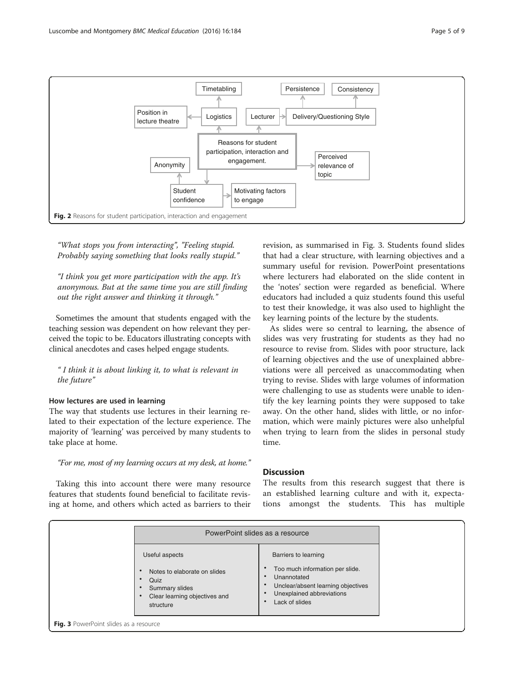

"What stops you from interacting", "Feeling stupid. Probably saying something that looks really stupid."

"I think you get more participation with the app. It's anonymous. But at the same time you are still finding out the right answer and thinking it through."

Sometimes the amount that students engaged with the teaching session was dependent on how relevant they perceived the topic to be. Educators illustrating concepts with clinical anecdotes and cases helped engage students.

" I think it is about linking it, to what is relevant in the future"

#### How lectures are used in learning

The way that students use lectures in their learning related to their expectation of the lecture experience. The majority of 'learning' was perceived by many students to take place at home.

"For me, most of my learning occurs at my desk, at home."

Taking this into account there were many resource features that students found beneficial to facilitate revising at home, and others which acted as barriers to their revision, as summarised in Fig. [3](#page-4-0). Students found slides that had a clear structure, with learning objectives and a summary useful for revision. PowerPoint presentations where lecturers had elaborated on the slide content in the 'notes' section were regarded as beneficial. Where educators had included a quiz students found this useful to test their knowledge, it was also used to highlight the key learning points of the lecture by the students.

As slides were so central to learning, the absence of slides was very frustrating for students as they had no resource to revise from. Slides with poor structure, lack of learning objectives and the use of unexplained abbreviations were all perceived as unaccommodating when trying to revise. Slides with large volumes of information were challenging to use as students were unable to identify the key learning points they were supposed to take away. On the other hand, slides with little, or no information, which were mainly pictures were also unhelpful when trying to learn from the slides in personal study time.

#### Discussion

The results from this research suggest that there is an established learning culture and with it, expectations amongst the students. This has multiple

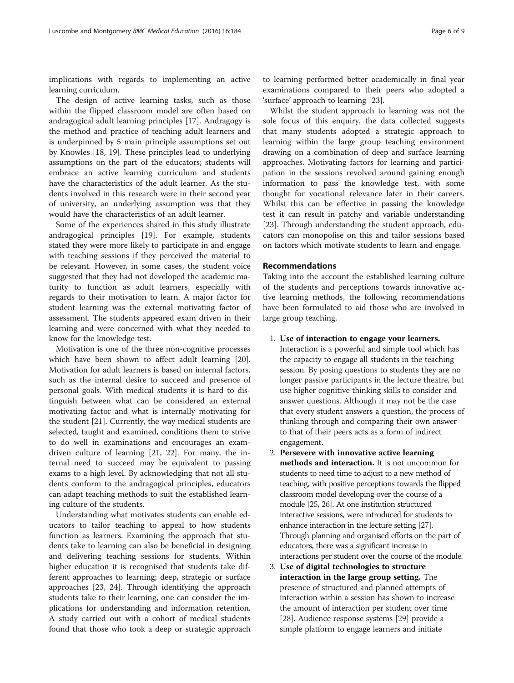implications with regards to implementing an active learning curriculum.

The design of active learning tasks, such as those within the flipped classroom model are often based on andragogical adult learning principles [[17\]](#page-7-0). Andragogy is the method and practice of teaching adult learners and is underpinned by 5 main principle assumptions set out by Knowles [[18, 19\]](#page-7-0). These principles lead to underlying assumptions on the part of the educators; students will embrace an active learning curriculum and students have the characteristics of the adult learner. As the students involved in this research were in their second year of university, an underlying assumption was that they would have the characteristics of an adult learner.

Some of the experiences shared in this study illustrate andragogical principles [\[19\]](#page-7-0). For example, students stated they were more likely to participate in and engage with teaching sessions if they perceived the material to be relevant. However, in some cases, the student voice suggested that they had not developed the academic maturity to function as adult learners, especially with regards to their motivation to learn. A major factor for student learning was the external motivating factor of assessment. The students appeared exam driven in their learning and were concerned with what they needed to know for the knowledge test.

Motivation is one of the three non-cognitive processes which have been shown to affect adult learning [\[20](#page-7-0)]. Motivation for adult learners is based on internal factors, such as the internal desire to succeed and presence of personal goals. With medical students it is hard to distinguish between what can be considered an external motivating factor and what is internally motivating for the student [\[21\]](#page-7-0). Currently, the way medical students are selected, taught and examined, conditions them to strive to do well in examinations and encourages an examdriven culture of learning [[21](#page-7-0), [22](#page-7-0)]. For many, the internal need to succeed may be equivalent to passing exams to a high level. By acknowledging that not all students conform to the andragogical principles, educators can adapt teaching methods to suit the established learning culture of the students.

Understanding what motivates students can enable educators to tailor teaching to appeal to how students function as learners. Examining the approach that students take to learning can also be beneficial in designing and delivering teaching sessions for students. Within higher education it is recognised that students take different approaches to learning; deep, strategic or surface approaches [\[23](#page-7-0), [24\]](#page-7-0). Through identifying the approach students take to their learning, one can consider the implications for understanding and information retention. A study carried out with a cohort of medical students found that those who took a deep or strategic approach to learning performed better academically in final year examinations compared to their peers who adopted a 'surface' approach to learning [[23\]](#page-7-0).

Whilst the student approach to learning was not the sole focus of this enquiry, the data collected suggests that many students adopted a strategic approach to learning within the large group teaching environment drawing on a combination of deep and surface learning approaches. Motivating factors for learning and participation in the sessions revolved around gaining enough information to pass the knowledge test, with some thought for vocational relevance later in their careers. Whilst this can be effective in passing the knowledge test it can result in patchy and variable understanding [[23\]](#page-7-0). Through understanding the student approach, educators can monopolise on this and tailor sessions based on factors which motivate students to learn and engage.

#### Recommendations

Taking into the account the established learning culture of the students and perceptions towards innovative active learning methods, the following recommendations have been formulated to aid those who are involved in large group teaching.

1. Use of interaction to engage your learners.

Interaction is a powerful and simple tool which has the capacity to engage all students in the teaching session. By posing questions to students they are no longer passive participants in the lecture theatre, but use higher cognitive thinking skills to consider and answer questions. Although it may not be the case that every student answers a question, the process of thinking through and comparing their own answer to that of their peers acts as a form of indirect engagement.

- 2. Persevere with innovative active learning methods and interaction. It is not uncommon for students to need time to adjust to a new method of teaching, with positive perceptions towards the flipped classroom model developing over the course of a module [\[25](#page-7-0), [26](#page-7-0)]. At one institution structured interactive sessions, were introduced for students to enhance interaction in the lecture setting [[27](#page-7-0)]. Through planning and organised efforts on the part of educators, there was a significant increase in interactions per student over the course of the module.
- 3. Use of digital technologies to structure interaction in the large group setting. The presence of structured and planned attempts of interaction within a session has shown to increase the amount of interaction per student over time [[28](#page-8-0)]. Audience response systems [\[29](#page-8-0)] provide a simple platform to engage learners and initiate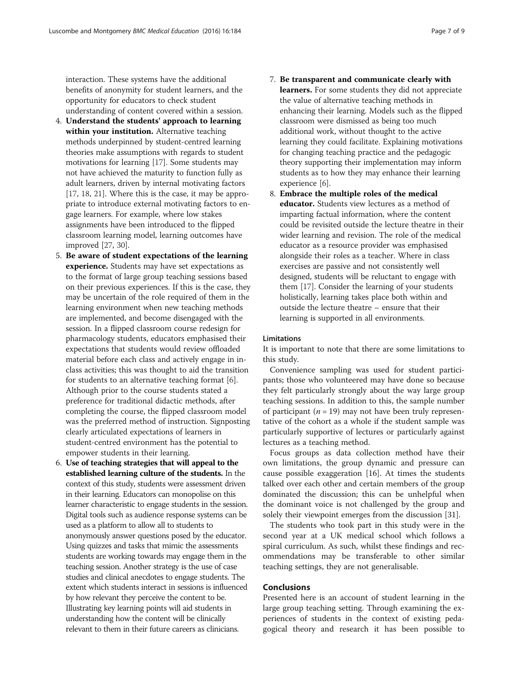<span id="page-7-0"></span>interaction. These systems have the additional benefits of anonymity for student learners, and the opportunity for educators to check student understanding of content covered within a session.

- 4. Understand the students' approach to learning within your institution. Alternative teaching methods underpinned by student-centred learning theories make assumptions with regards to student motivations for learning [17]. Some students may not have achieved the maturity to function fully as adult learners, driven by internal motivating factors [17, 18, 21]. Where this is the case, it may be appropriate to introduce external motivating factors to engage learners. For example, where low stakes assignments have been introduced to the flipped classroom learning model, learning outcomes have improved [27, [30\]](#page-8-0).
- 5. Be aware of student expectations of the learning experience. Students may have set expectations as to the format of large group teaching sessions based on their previous experiences. If this is the case, they may be uncertain of the role required of them in the learning environment when new teaching methods are implemented, and become disengaged with the session. In a flipped classroom course redesign for pharmacology students, educators emphasised their expectations that students would review offloaded material before each class and actively engage in inclass activities; this was thought to aid the transition for students to an alternative teaching format [6]. Although prior to the course students stated a preference for traditional didactic methods, after completing the course, the flipped classroom model was the preferred method of instruction. Signposting clearly articulated expectations of learners in student-centred environment has the potential to empower students in their learning.
- 6. Use of teaching strategies that will appeal to the established learning culture of the students. In the context of this study, students were assessment driven in their learning. Educators can monopolise on this learner characteristic to engage students in the session. Digital tools such as audience response systems can be used as a platform to allow all to students to anonymously answer questions posed by the educator. Using quizzes and tasks that mimic the assessments students are working towards may engage them in the teaching session. Another strategy is the use of case studies and clinical anecdotes to engage students. The extent which students interact in sessions is influenced by how relevant they perceive the content to be. Illustrating key learning points will aid students in understanding how the content will be clinically relevant to them in their future careers as clinicians.
- 7. Be transparent and communicate clearly with learners. For some students they did not appreciate the value of alternative teaching methods in enhancing their learning. Models such as the flipped classroom were dismissed as being too much additional work, without thought to the active learning they could facilitate. Explaining motivations for changing teaching practice and the pedagogic theory supporting their implementation may inform students as to how they may enhance their learning experience [6].
- 8. Embrace the multiple roles of the medical educator. Students view lectures as a method of imparting factual information, where the content could be revisited outside the lecture theatre in their wider learning and revision. The role of the medical educator as a resource provider was emphasised alongside their roles as a teacher. Where in class exercises are passive and not consistently well designed, students will be reluctant to engage with them [17]. Consider the learning of your students holistically, learning takes place both within and outside the lecture theatre – ensure that their learning is supported in all environments.

#### Limitations

It is important to note that there are some limitations to this study.

Convenience sampling was used for student participants; those who volunteered may have done so because they felt particularly strongly about the way large group teaching sessions. In addition to this, the sample number of participant ( $n = 19$ ) may not have been truly representative of the cohort as a whole if the student sample was particularly supportive of lectures or particularly against lectures as a teaching method.

Focus groups as data collection method have their own limitations, the group dynamic and pressure can cause possible exaggeration [16]. At times the students talked over each other and certain members of the group dominated the discussion; this can be unhelpful when the dominant voice is not challenged by the group and solely their viewpoint emerges from the discussion [[31](#page-8-0)].

The students who took part in this study were in the second year at a UK medical school which follows a spiral curriculum. As such, whilst these findings and recommendations may be transferable to other similar teaching settings, they are not generalisable.

#### Conclusions

Presented here is an account of student learning in the large group teaching setting. Through examining the experiences of students in the context of existing pedagogical theory and research it has been possible to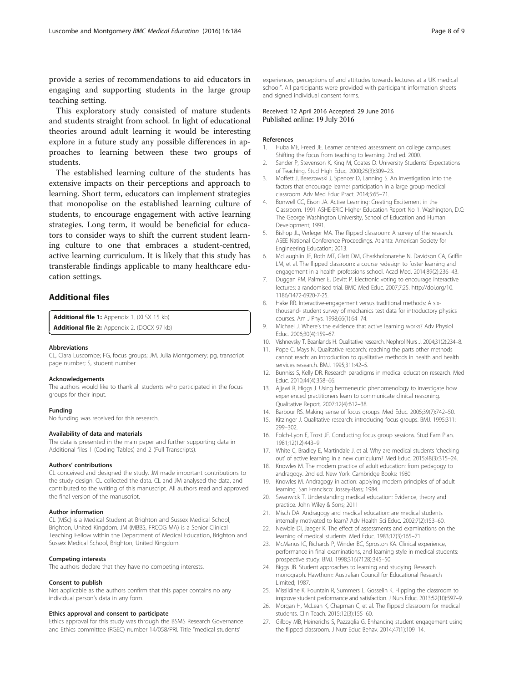<span id="page-8-0"></span>provide a series of recommendations to aid educators in engaging and supporting students in the large group teaching setting.

This exploratory study consisted of mature students and students straight from school. In light of educational theories around adult learning it would be interesting explore in a future study any possible differences in approaches to learning between these two groups of students.

The established learning culture of the students has extensive impacts on their perceptions and approach to learning. Short term, educators can implement strategies that monopolise on the established learning culture of students, to encourage engagement with active learning strategies. Long term, it would be beneficial for educators to consider ways to shift the current student learning culture to one that embraces a student-centred, active learning curriculum. It is likely that this study has transferable findings applicable to many healthcare education settings.

#### Additional files

[Additional file 1:](dx.doi.org/10.1186/s12909-016-0698-x) Appendix 1. (XLSX 15 kb) [Additional file 2:](dx.doi.org/10.1186/s12909-016-0698-x) Appendix 2. (DOCX 97 kb)

#### Abbreviations

CL, Ciara Luscombe; FG, focus groups; JM, Julia Montgomery; pg, transcript page number; S, student number

#### Acknowledgements

The authors would like to thank all students who participated in the focus groups for their input.

#### Funding

No funding was received for this research.

#### Availability of data and materials

The data is presented in the main paper and further supporting data in Additional files [1](#page-7-0) (Coding Tables) and [2](#page-7-0) (Full Transcripts).

#### Authors' contributions

CL conceived and designed the study. JM made important contributions to the study design. CL collected the data. CL and JM analysed the data, and contributed to the writing of this manuscript. All authors read and approved the final version of the manuscript.

#### Author information

CL (MSc) is a Medical Student at Brighton and Sussex Medical School, Brighton, United Kingdom. JM (MBBS, FRCOG MA) is a Senior Clinical Teaching Fellow within the Department of Medical Education, Brighton and Sussex Medical School, Brighton, United Kingdom.

#### Competing interests

The authors declare that they have no competing interests.

#### Consent to publish

Not applicable as the authors confirm that this paper contains no any individual person's data in any form.

#### Ethics approval and consent to participate

Ethics approval for this study was through the BSMS Research Governance and Ethics committee (RGEC) number 14/058/PRI. Title "medical students'

experiences, perceptions of and attitudes towards lectures at a UK medical school". All participants were provided with participant information sheets and signed individual consent forms.

#### Received: 12 April 2016 Accepted: 29 June 2016 Published online: 19 July 2016

#### References

- 1. Huba ME, Freed JE. Learner centered assessment on college campuses: Shifting the focus from teaching to learning. 2nd ed. 2000.
- 2. Sander P, Stevenson K, King M, Coates D. University Students' Expectations of Teaching. Stud High Educ. 2000;25(3):309–23.
- 3. Moffett J, Berezowski J, Spencer D, Lanning S. An investigation into the factors that encourage learner participation in a large group medical classroom. Adv Med Educ Pract. 2014;5:65–71.
- 4. Bonwell CC, Eison JA. Active Learning: Creating Excitement in the Classroom. 1991 ASHE-ERIC Higher Education Report No 1. Washington, D.C: The George Washington University, School of Education and Human Development; 1991.
- 5. Bishop JL, Verleger MA. The flipped classroom: A survey of the research. ASEE National Conference Proceedings. Atlanta: American Society for Engineering Education; 2013.
- 6. McLaughlin JE, Roth MT, Glatt DM, Gharkholonarehe N, Davidson CA, Griffin LM, et al. The flipped classroom: a course redesign to foster learning and engagement in a health professions school. Acad Med. 2014;89(2):236–43.
- 7. Duggan PM, Palmer E, Devitt P. Electronic voting to encourage interactive lectures: a randomised trial. BMC Med Educ. 2007;7:25. http://doi.org[/10.](http://dx.doi.org/10.1186/1472-6920-7-25) [1186/1472-6920-7-25.](http://dx.doi.org/10.1186/1472-6920-7-25)
- 8. Hake RR. Interactive-engagement versus traditional methods: A sixthousand- student survey of mechanics test data for introductory physics courses. Am J Phys. 1998;66(1):64–74.
- 9. Michael J. Where's the evidence that active learning works? Adv Physiol Educ. 2006;30(4):159–67.
- 10. Vishnevsky T, Beanlands H. Qualitative research. Nephrol Nurs J. 2004;31(2):234–8.
- 11. Pope C, Mays N. Qualitative research: reaching the parts other methods cannot reach: an introduction to qualitative methods in health and health services research. BMJ. 1995;311:42–5.
- 12. Bunniss S, Kelly DR. Research paradigms in medical education research. Med Educ. 2010;44(4):358–66.
- 13. Ajjawi R, Higgs J. Using hermeneutic phenomenology to investigate how experienced practitioners learn to communicate clinical reasoning. Qualitative Report. 2007;12(4):612–38.
- 14. Barbour RS. Making sense of focus groups. Med Educ. 2005;39(7):742–50.
- 15. Kitzinger J. Qualitative research: introducing focus groups. BMJ. 1995;311:
- 299–302. 16. Folch-Lyon E, Trost JF. Conducting focus group sessions. Stud Fam Plan.
- 1981;12(12):443–9.
- 17. White C, Bradley E, Martindale J, et al. Why are medical students 'checking out' of active learning in a new curriculum? Med Educ. 2015;48(3):315–24.
- 18. Knowles M. The modern practice of adult education: from pedagogy to andragogy. 2nd ed. New York: Cambridge Books; 1980.
- 19. Knowles M. Andragogy in action: applying modern principles of of adult learning. San Francisco: Jossey-Bass; 1984.
- 20. Swanwick T. Understanding medical education: Evidence, theory and practice. John Wiley & Sons; 2011
- 21. Misch DA. Andragogy and medical education: are medical students internally motivated to learn? Adv Health Sci Educ. 2002;7(2):153–60.
- 22. Newble DI, Jaeger K. The effect of assessments and examinations on the learning of medical students. Med Educ. 1983;17(3):165–71.
- 23. McManus IC, Richards P, Winder BC, Sproston KA. Clinical experience, performance in final examinations, and learning style in medical students: prospective study. BMJ. 1998;316(7128):345–50.
- 24. Biggs JB. Student approaches to learning and studying. Research monograph. Hawthorn: Australian Council for Educational Research Limited; 1987.
- 25. Missildine K, Fountain R, Summers L, Gosselin K. Flipping the classroom to improve student performance and satisfaction. J Nurs Educ. 2013;52(10):597–9.
- 26. Morgan H, McLean K, Chapman C, et al. The flipped classroom for medical students. Clin Teach. 2015;12(3):155–60.
- 27. Gilboy MB, Heinerichs S, Pazzaglia G. Enhancing student engagement using the flipped classroom. J Nutr Educ Behav. 2014;47(1):109–14.